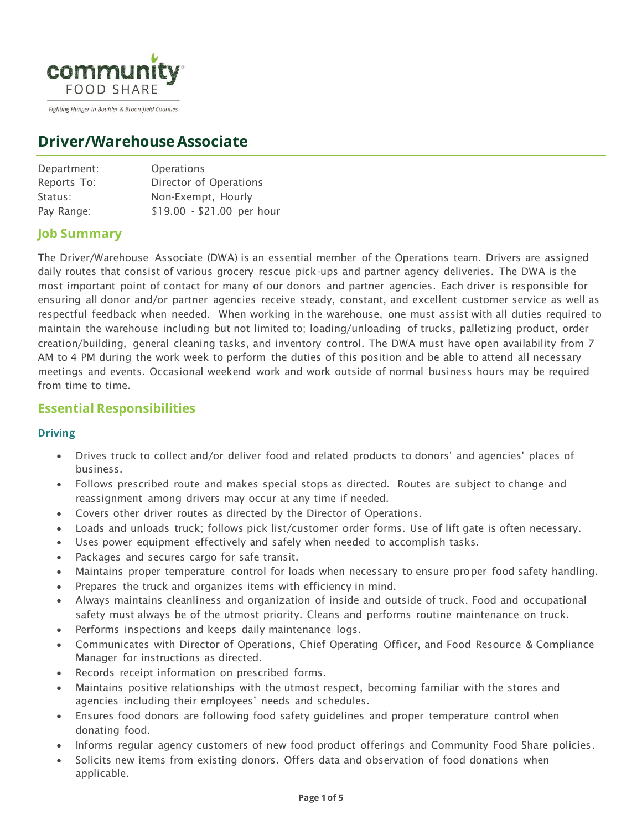

Fighting Hunger in Boulder & Broomfield Counties

# **Driver/WarehouseAssociate**

| Department: | <b>Operations</b>          |
|-------------|----------------------------|
| Reports To: | Director of Operations     |
| Status:     | Non-Exempt, Hourly         |
| Pay Range:  | \$19.00 - \$21.00 per hour |

# **Job Summary**

The Driver/Warehouse Associate (DWA) is an essential member of the Operations team. Drivers are assigned daily routes that consist of various grocery rescue pick-ups and partner agency deliveries. The DWA is the most important point of contact for many of our donors and partner agencies. Each driver is responsible for ensuring all donor and/or partner agencies receive steady, constant, and excellent customer service as well as respectful feedback when needed. When working in the warehouse, one must assist with all duties required to maintain the warehouse including but not limited to; loading/unloading of trucks, palletizing product, order creation/building, general cleaning tasks, and inventory control. The DWA must have open availability from 7 AM to 4 PM during the work week to perform the duties of this position and be able to attend all necessary meetings and events. Occasional weekend work and work outside of normal business hours may be required from time to time.

## **Essential Responsibilities**

#### **Driving**

- Drives truck to collect and/or deliver food and related products to donors' and agencies' places of business.
- Follows prescribed route and makes special stops as directed. Routes are subject to change and reassignment among drivers may occur at any time if needed.
- Covers other driver routes as directed by the Director of Operations.
- Loads and unloads truck; follows pick list/customer order forms. Use of lift gate is often necessary.
- Uses power equipment effectively and safely when needed to accomplish tasks.
- Packages and secures cargo for safe transit.
- Maintains proper temperature control for loads when necessary to ensure proper food safety handling.
- Prepares the truck and organizes items with efficiency in mind.
- Always maintains cleanliness and organization of inside and outside of truck. Food and occupational safety must always be of the utmost priority. Cleans and performs routine maintenance on truck.
- Performs inspections and keeps daily maintenance logs.
- Communicates with Director of Operations, Chief Operating Officer, and Food Resource & Compliance Manager for instructions as directed.
- Records receipt information on prescribed forms.
- Maintains positive relationships with the utmost respect, becoming familiar with the stores and agencies including their employees' needs and schedules.
- Ensures food donors are following food safety guidelines and proper temperature control when donating food.
- Informs regular agency customers of new food product offerings and Community Food Share policies.
- Solicits new items from existing donors. Offers data and observation of food donations when applicable.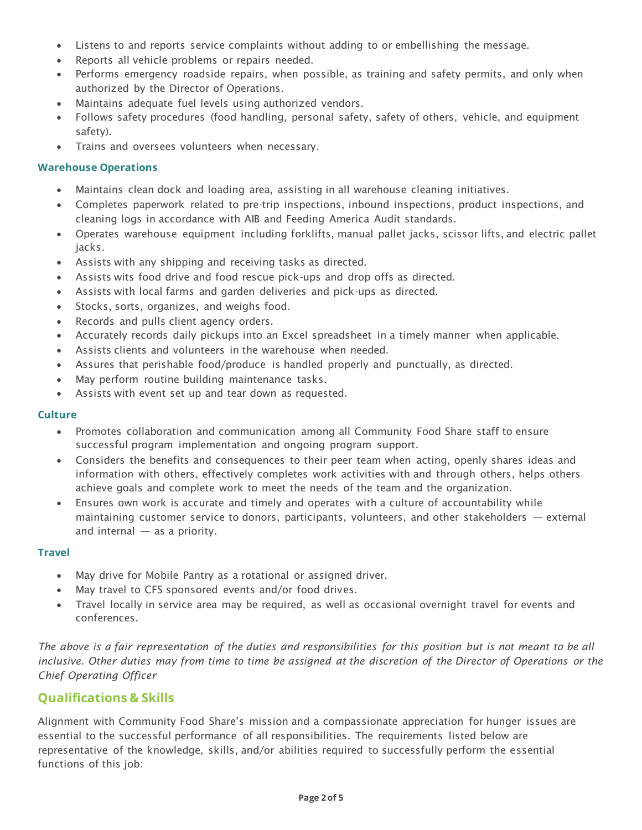- Listens to and reports service complaints without adding to or embellishing the message.
- Reports all vehicle problems or repairs needed.
- Performs emergency roadside repairs, when possible, as training and safety permits, and only when authorized by the Director of Operations.
- Maintains adequate fuel levels using authorized vendors.
- Follows safety procedures (food handling, personal safety, safety of others, vehicle, and equipment safety).
- Trains and oversees volunteers when necessary.

#### **Warehouse Operations**

- Maintains clean dock and loading area, assisting in all warehouse cleaning initiatives.
- Completes paperwork related to pre-trip inspections, inbound inspections, product inspections, and cleaning logs in accordance with AIB and Feeding America Audit standards.
- Operates warehouse equipment including forklifts, manual pallet jacks, scissor lifts, and electric pallet jacks.
- Assists with any shipping and receiving tasks as directed.
- Assists wits food drive and food rescue pick-ups and drop offs as directed.
- Assists with local farms and garden deliveries and pick-ups as directed.
- Stocks, sorts, organizes, and weighs food.
- Records and pulls client agency orders.
- Accurately records daily pickups into an Excel spreadsheet in a timely manner when applicable.
- Assists clients and volunteers in the warehouse when needed.
- Assures that perishable food/produce is handled properly and punctually, as directed.
- May perform routine building maintenance tasks.
- Assists with event set up and tear down as requested.

#### **Culture**

- Promotes collaboration and communication among all Community Food Share staff to ensure successful program implementation and ongoing program support.
- Considers the benefits and consequences to their peer team when acting, openly shares ideas and information with others, effectively completes work activities with and through others, helps others achieve goals and complete work to meet the needs of the team and the organization.
- Ensures own work is accurate and timely and operates with a culture of accountability while maintaining customer service to donors, participants, volunteers, and other stakeholders — external and internal  $-$  as a priority.

#### **Travel**

- May drive for Mobile Pantry as a rotational or assigned driver.
- May travel to CFS sponsored events and/or food drives.
- Travel locally in service area may be required, as well as occasional overnight travel for events and conferences.

The above is a fair representation of the duties and responsibilities for this position but is not meant to be all *inclusive. Other duties may from time to time be assigned at the discretion of the Director of Operations or the Chief Operating Officer*

# **Qualifications & Skills**

Alignment with Community Food Share's mission and a compassionate appreciation for hunger issues are essential to the successful performance of all responsibilities. The requirements listed below are representative of the knowledge, skills, and/or abilities required to successfully perform the essential functions of this job: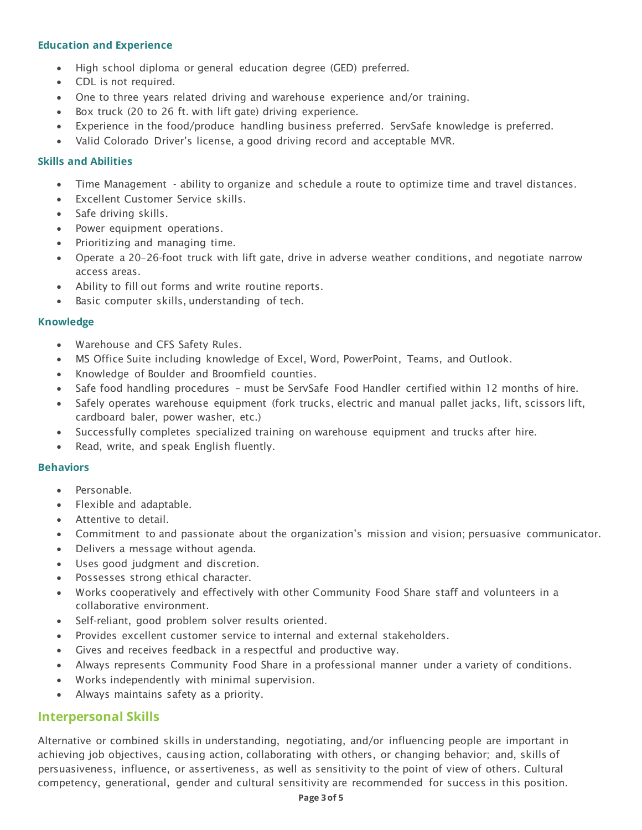#### **Education and Experience**

- High school diploma or general education degree (GED) preferred.
- CDL is not required.
- One to three years related driving and warehouse experience and/or training.
- Box truck (20 to 26 ft. with lift gate) driving experience.
- Experience in the food/produce handling business preferred. ServSafe knowledge is preferred.
- Valid Colorado Driver's license, a good driving record and acceptable MVR.

#### **Skills and Abilities**

- Time Management ability to organize and schedule a route to optimize time and travel distances.
- Excellent Customer Service skills.
- Safe driving skills.
- Power equipment operations.
- Prioritizing and managing time.
- Operate a 20–26-foot truck with lift gate, drive in adverse weather conditions, and negotiate narrow access areas.
- Ability to fill out forms and write routine reports.
- Basic computer skills, understanding of tech.

#### **Knowledge**

- Warehouse and CFS Safety Rules.
- MS Office Suite including knowledge of Excel, Word, PowerPoint, Teams, and Outlook.
- Knowledge of Boulder and Broomfield counties.
- Safe food handling procedures must be ServSafe Food Handler certified within 12 months of hire.
- Safely operates warehouse equipment (fork trucks, electric and manual pallet jacks, lift, scissors lift, cardboard baler, power washer, etc.)
- Successfully completes specialized training on warehouse equipment and trucks after hire.
- Read, write, and speak English fluently.

#### **Behaviors**

- Personable.
- Flexible and adaptable.
- Attentive to detail.
- Commitment to and passionate about the organization's mission and vision; persuasive communicator.
- Delivers a message without agenda.
- Uses good judgment and discretion.
- Possesses strong ethical character.
- Works cooperatively and effectively with other Community Food Share staff and volunteers in a collaborative environment.
- Self-reliant, good problem solver results oriented.
- Provides excellent customer service to internal and external stakeholders.
- Gives and receives feedback in a respectful and productive way.
- Always represents Community Food Share in a professional manner under a variety of conditions.
- Works independently with minimal supervision.
- Always maintains safety as a priority.

## **Interpersonal Skills**

Alternative or combined skills in understanding, negotiating, and/or influencing people are important in achieving job objectives, causing action, collaborating with others, or changing behavior; and, skills of persuasiveness, influence, or assertiveness, as well as sensitivity to the point of view of others. Cultural competency, generational, gender and cultural sensitivity are recommended for success in this position.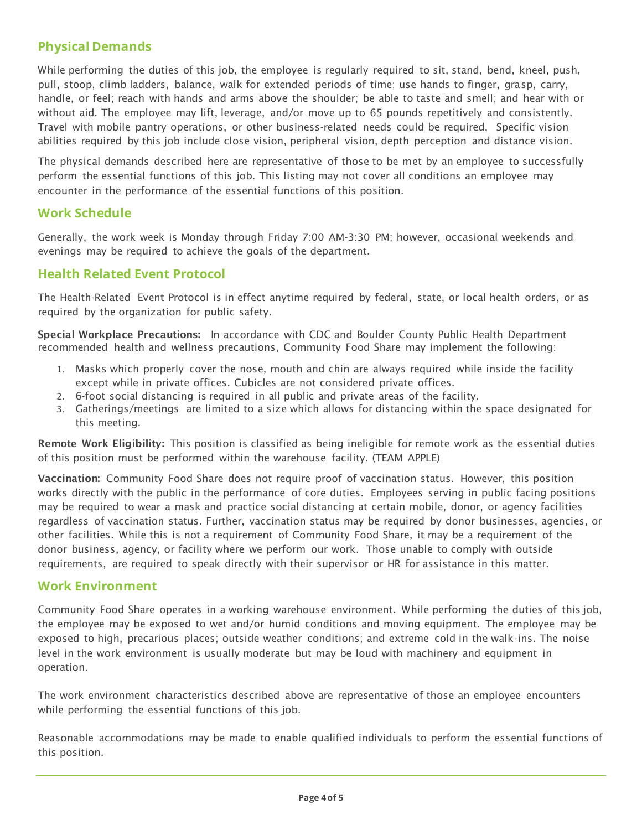# **Physical Demands**

While performing the duties of this job, the employee is regularly required to sit, stand, bend, kneel, push, pull, stoop, climb ladders, balance, walk for extended periods of time; use hands to finger, grasp, carry, handle, or feel; reach with hands and arms above the shoulder; be able to taste and smell; and hear with or without aid. The employee may lift, leverage, and/or move up to 65 pounds repetitively and consistently. Travel with mobile pantry operations, or other business-related needs could be required. Specific vision abilities required by this job include close vision, peripheral vision, depth perception and distance vision.

The physical demands described here are representative of those to be met by an employee to successfully perform the essential functions of this job. This listing may not cover all conditions an employee may encounter in the performance of the essential functions of this position.

# **Work Schedule**

Generally, the work week is Monday through Friday 7:00 AM-3:30 PM; however, occasional weekends and evenings may be required to achieve the goals of the department.

## **Health Related Event Protocol**

The Health-Related Event Protocol is in effect anytime required by federal, state, or local health orders, or as required by the organization for public safety.

Special Workplace Precautions: In accordance with CDC and Boulder County Public Health Department recommended health and wellness precautions, Community Food Share may implement the following:

- 1. Masks which properly cover the nose, mouth and chin are always required while inside the facility except while in private offices. Cubicles are not considered private offices.
- 2. 6-foot social distancing is required in all public and private areas of the facility.
- 3. Gatherings/meetings are limited to a size which allows for distancing within the space designated for this meeting.

Remote Work Eligibility: This position is classified as being ineligible for remote work as the essential duties of this position must be performed within the warehouse facility. (TEAM APPLE)

Vaccination: Community Food Share does not require proof of vaccination status. However, this position works directly with the public in the performance of core duties. Employees serving in public facing positions may be required to wear a mask and practice social distancing at certain mobile, donor, or agency facilities regardless of vaccination status. Further, vaccination status may be required by donor businesses, agencies, or other facilities. While this is not a requirement of Community Food Share, it may be a requirement of the donor business, agency, or facility where we perform our work. Those unable to comply with outside requirements, are required to speak directly with their supervisor or HR for assistance in this matter.

## **Work Environment**

Community Food Share operates in a working warehouse environment. While performing the duties of this job, the employee may be exposed to wet and/or humid conditions and moving equipment. The employee may be exposed to high, precarious places; outside weather conditions; and extreme cold in the walk-ins. The noise level in the work environment is usually moderate but may be loud with machinery and equipment in operation.

The work environment characteristics described above are representative of those an employee encounters while performing the essential functions of this job.

Reasonable accommodations may be made to enable qualified individuals to perform the essential functions of this position.